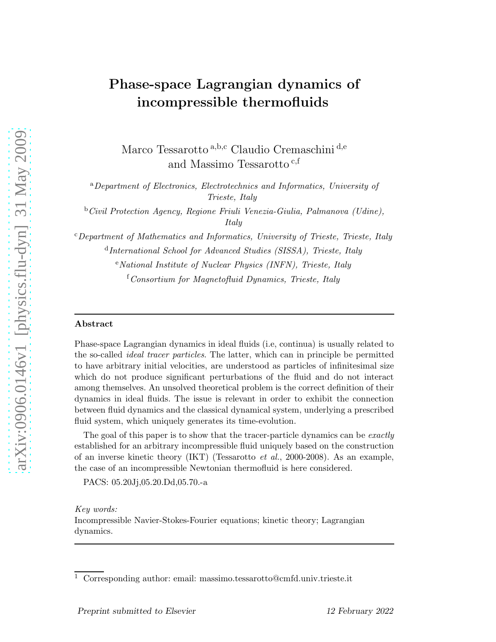# Phase-space Lagrangian dynamics of incompressible thermofluids

Marco Tessarotto a, b,c Claudio Cremaschini d,e and Massimo Tessarotto $^{\rm c,f}$ 

<sup>a</sup>*Department of Electronics, Electrotechnics and Informatics, University of Trieste, Italy*

<sup>b</sup>*Civil Protection Agency, Regione Friuli Venezia-Giulia, Palmanova (Udine), Italy*

<sup>c</sup>*Department of Mathematics and Informatics, University of Trieste, Trieste, Italy* d *International School for Advanced Studies (SISSA), Trieste, Italy*

<sup>e</sup>*National Institute of Nuclear Physics (INFN), Trieste, Italy*

<sup>f</sup>*Consortium for Magnetofluid Dynamics, Trieste, Italy*

#### Abstract

Phase-space Lagrangian dynamics in ideal fluids (i.e, continua) is usually related to the so-called *ideal tracer particles*. The latter, which can in principle be permitted to have arbitrary initial velocities, are understood as particles of infinitesimal size which do not produce significant perturbations of the fluid and do not interact among themselves. An unsolved theoretical problem is the correct definition of their dynamics in ideal fluids. The issue is relevant in order to exhibit the connection between fluid dynamics and the classical dynamical system, underlying a prescribed fluid system, which uniquely generates its time-evolution.

The goal of this paper is to show that the tracer-particle dynamics can be *exactly* established for an arbitrary incompressible fluid uniquely based on the construction of an inverse kinetic theory (IKT) (Tessarotto *et al.*, 2000-2008). As an example, the case of an incompressible Newtonian thermofluid is here considered.

PACS: 05.20Jj,05.20.Dd,05.70.-a

*Key words:* Incompressible Navier-Stokes-Fourier equations; kinetic theory; Lagrangian dynamics.

<sup>1</sup> Corresponding author: email: massimo.tessarotto@cmfd.univ.trieste.it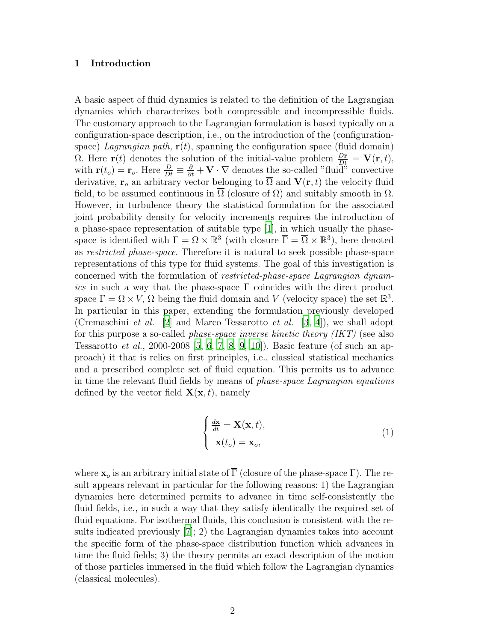#### 1 Introduction

A basic aspect of fluid dynamics is related to the definition of the Lagrangian dynamics which characterizes both compressible and incompressible fluids. The customary approach to the Lagrangian formulation is based typically on a configuration-space description, i.e., on the introduction of the (configurationspace) *Lagrangian path*,  $\mathbf{r}(t)$ , spanning the configuration space (fluid domain) Ω. Here **r**(*t*) denotes the solution of the initial-value problem  $\frac{D_r}{Dt} = \mathbf{V}(\mathbf{r}, t)$ , with  $\mathbf{r}(t_o) = \mathbf{r}_o$ . Here  $\frac{D}{Dt} \equiv \frac{\partial}{\partial t} + \mathbf{V} \cdot \nabla$  denotes the so-called "fluid" convective derivative,  $\mathbf{r}_o$  an arbitrary vector belonging to  $\overline{\Omega}$  and  $\mathbf{V}(\mathbf{r}, t)$  the velocity fluid field, to be assumed continuous in  $\overline{\Omega}$  (closure of  $\Omega$ ) and suitably smooth in  $\Omega$ . However, in turbulence theory the statistical formulation for the associated joint probability density for velocity increments requires the introduction of a phase-space representation of suitable type [\[1](#page-13-0)], in which usually the phasespace is identified with  $\Gamma = \Omega \times \mathbb{R}^3$  (with closure  $\overline{\Gamma} = \overline{\Omega} \times \mathbb{R}^3$ ), here denoted as *restricted phase-space*. Therefore it is natural to seek possible phase-space representations of this type for fluid systems. The goal of this investigation is concerned with the formulation of *restricted-phase-space Lagrangian dynamics* in such a way that the phase-space Γ coincides with the direct product space  $\Gamma = \Omega \times V$ ,  $\Omega$  being the fluid domain and V (velocity space) the set  $\mathbb{R}^3$ . In particular in this paper, extending the formulation previously developed (Cremaschini *et al.* [\[2\]](#page-13-1) and Marco Tessarotto *et al.* [\[3](#page-13-2), [4](#page-13-3)]), we shall adopt for this purpose a so-called *phase-space inverse kinetic theory (IKT)* (see also Tessarotto *et al.*, 2000-2008 [\[5,](#page-14-0) [6](#page-14-1), [7,](#page-14-2) [8](#page-14-3), [9,](#page-14-4) [10](#page-14-5)]). Basic feature (of such an approach) it that is relies on first principles, i.e., classical statistical mechanics and a prescribed complete set of fluid equation. This permits us to advance in time the relevant fluid fields by means of *phase-space Lagrangian equations* defined by the vector field  $\mathbf{X}(\mathbf{x}, t)$ , namely

<span id="page-1-0"></span>
$$
\begin{cases} \frac{d\mathbf{x}}{dt} = \mathbf{X}(\mathbf{x}, t), \\ \mathbf{x}(t_o) = \mathbf{x}_o, \end{cases}
$$
 (1)

where  $\mathbf{x}_o$  is an arbitrary initial state of  $\overline{\Gamma}$  (closure of the phase-space  $\Gamma$ ). The result appears relevant in particular for the following reasons: 1) the Lagrangian dynamics here determined permits to advance in time self-consistently the fluid fields, i.e., in such a way that they satisfy identically the required set of fluid equations. For isothermal fluids, this conclusion is consistent with the results indicated previously [\[7](#page-14-2)]; 2) the Lagrangian dynamics takes into account the specific form of the phase-space distribution function which advances in time the fluid fields; 3) the theory permits an exact description of the motion of those particles immersed in the fluid which follow the Lagrangian dynamics (classical molecules).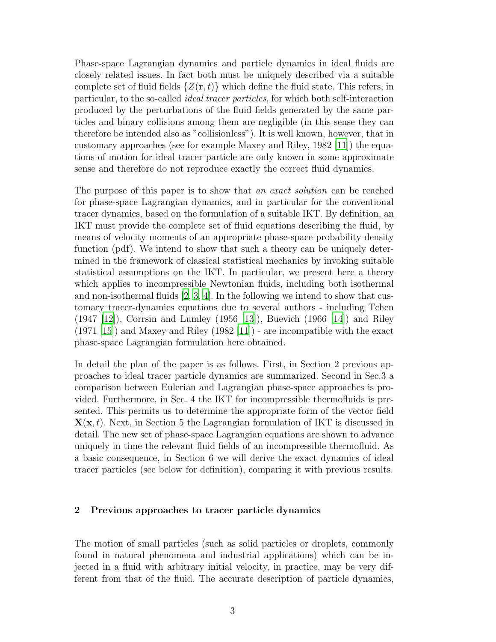Phase-space Lagrangian dynamics and particle dynamics in ideal fluids are closely related issues. In fact both must be uniquely described via a suitable complete set of fluid fields  $\{Z(\mathbf{r},t)\}\$  which define the fluid state. This refers, in particular, to the so-called *ideal tracer particles*, for which both self-interaction produced by the perturbations of the fluid fields generated by the same particles and binary collisions among them are negligible (in this sense they can therefore be intended also as "collisionless"). It is well known, however, that in customary approaches (see for example Maxey and Riley, 1982 [\[11\]](#page-14-6)) the equations of motion for ideal tracer particle are only known in some approximate sense and therefore do not reproduce exactly the correct fluid dynamics.

The purpose of this paper is to show that *an exact solution* can be reached for phase-space Lagrangian dynamics, and in particular for the conventional tracer dynamics, based on the formulation of a suitable IKT. By definition, an IKT must provide the complete set of fluid equations describing the fluid, by means of velocity moments of an appropriate phase-space probability density function (pdf). We intend to show that such a theory can be uniquely determined in the framework of classical statistical mechanics by invoking suitable statistical assumptions on the IKT. In particular, we present here a theory which applies to incompressible Newtonian fluids, including both isothermal and non-isothermal fluids  $[2, 3, 4]$  $[2, 3, 4]$  $[2, 3, 4]$  $[2, 3, 4]$ . In the following we intend to show that customary tracer-dynamics equations due to several authors - including Tchen (1947 [\[12\]](#page-14-7)), Corrsin and Lumley (1956 [\[13\]](#page-14-8)), Buevich (1966 [\[14](#page-14-9)]) and Riley  $(1971 \vert 15)$  and Maxey and Riley  $(1982 \vert 11)$  - are incompatible with the exact phase-space Lagrangian formulation here obtained.

In detail the plan of the paper is as follows. First, in Section 2 previous approaches to ideal tracer particle dynamics are summarized. Second in Sec.3 a comparison between Eulerian and Lagrangian phase-space approaches is provided. Furthermore, in Sec. 4 the IKT for incompressible thermofluids is presented. This permits us to determine the appropriate form of the vector field  $\mathbf{X}(\mathbf{x}, t)$ . Next, in Section 5 the Lagrangian formulation of IKT is discussed in detail. The new set of phase-space Lagrangian equations are shown to advance uniquely in time the relevant fluid fields of an incompressible thermofluid. As a basic consequence, in Section 6 we will derive the exact dynamics of ideal tracer particles (see below for definition), comparing it with previous results.

## 2 Previous approaches to tracer particle dynamics

The motion of small particles (such as solid particles or droplets, commonly found in natural phenomena and industrial applications) which can be injected in a fluid with arbitrary initial velocity, in practice, may be very different from that of the fluid. The accurate description of particle dynamics,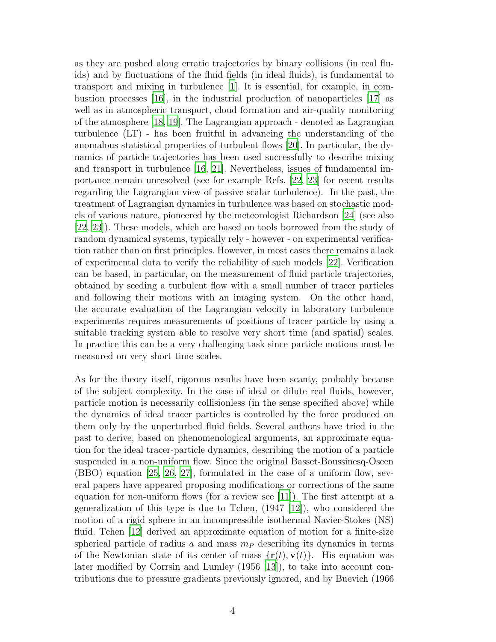as they are pushed along erratic trajectories by binary collisions (in real fluids) and by fluctuations of the fluid fields (in ideal fluids), is fundamental to transport and mixing in turbulence [\[1](#page-13-0)]. It is essential, for example, in combustion processes [\[16\]](#page-14-10), in the industrial production of nanoparticles [\[17\]](#page-14-11) as well as in atmospheric transport, cloud formation and air-quality monitoring of the atmosphere [\[18](#page-14-12), [19\]](#page-14-13). The Lagrangian approach - denoted as Lagrangian turbulence (LT) - has been fruitful in advancing the understanding of the anomalous statistical properties of turbulent flows [\[20](#page-14-14)]. In particular, the dynamics of particle trajectories has been used successfully to describe mixing and transport in turbulence [\[16](#page-14-10), [21](#page-14-15)]. Nevertheless, issues of fundamental importance remain unresolved (see for example Refs. [\[22](#page-14-16), [23\]](#page-14-17) for recent results regarding the Lagrangian view of passive scalar turbulence). In the past, the treatment of Lagrangian dynamics in turbulence was based on stochastic models of various nature, pioneered by the meteorologist Richardson [\[24\]](#page-14-18) (see also [\[22,](#page-14-16) [23\]](#page-14-17)). These models, which are based on tools borrowed from the study of random dynamical systems, typically rely - however - on experimental verification rather than on first principles. However, in most cases there remains a lack of experimental data to verify the reliability of such models [\[22](#page-14-16)]. Verification can be based, in particular, on the measurement of fluid particle trajectories, obtained by seeding a turbulent flow with a small number of tracer particles and following their motions with an imaging system. On the other hand, the accurate evaluation of the Lagrangian velocity in laboratory turbulence experiments requires measurements of positions of tracer particle by using a suitable tracking system able to resolve very short time (and spatial) scales. In practice this can be a very challenging task since particle motions must be measured on very short time scales.

As for the theory itself, rigorous results have been scanty, probably because of the subject complexity. In the case of ideal or dilute real fluids, however, particle motion is necessarily collisionless (in the sense specified above) while the dynamics of ideal tracer particles is controlled by the force produced on them only by the unperturbed fluid fields. Several authors have tried in the past to derive, based on phenomenological arguments, an approximate equation for the ideal tracer-particle dynamics, describing the motion of a particle suspended in a non-uniform flow. Since the original Basset-Boussinesq-Oseen (BBO) equation [\[25](#page-14-19), [26](#page-14-20), [27\]](#page-14-21), formulated in the case of a uniform flow, several papers have appeared proposing modifications or corrections of the same equation for non-uniform flows (for a review see [\[11](#page-14-6)]). The first attempt at a generalization of this type is due to Tchen,  $(1947 \mid 12)$ , who considered the motion of a rigid sphere in an incompressible isothermal Navier-Stokes (NS) fluid. Tchen [\[12](#page-14-7)] derived an approximate equation of motion for a finite-size spherical particle of radius a and mass  $m<sub>P</sub>$  describing its dynamics in terms of the Newtonian state of its center of mass  $\{r(t), v(t)\}\$ . His equation was later modified by Corrsin and Lumley (1956 [\[13\]](#page-14-8)), to take into account contributions due to pressure gradients previously ignored, and by Buevich (1966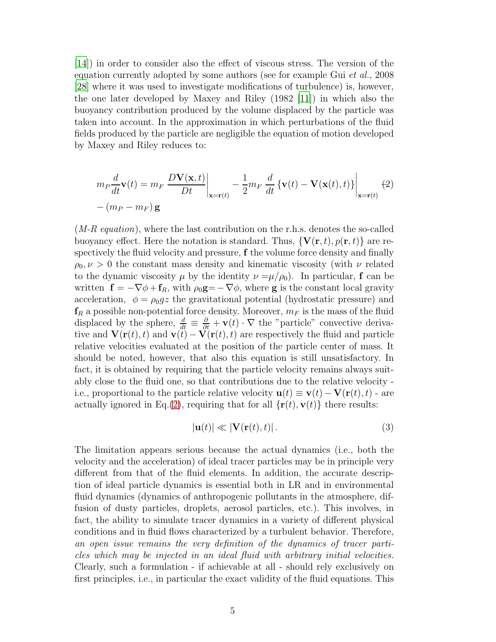[\[14\]](#page-14-9)) in order to consider also the effect of viscous stress. The version of the equation currently adopted by some authors (see for example Gui *et al.*, 2008 [\[28\]](#page-14-22) where it was used to investigate modifications of turbulence) is, however, the one later developed by Maxey and Riley (1982 [\[11](#page-14-6)]) in which also the buoyancy contribution produced by the volume displaced by the particle was taken into account. In the approximation in which perturbations of the fluid fields produced by the particle are negligible the equation of motion developed by Maxey and Riley reduces to:

<span id="page-4-0"></span>
$$
m_P \frac{d}{dt} \mathbf{v}(t) = m_F \left. \frac{D \mathbf{V}(\mathbf{x}, t)}{Dt} \right|_{\mathbf{x} = \mathbf{r}(t)} - \frac{1}{2} m_F \left. \frac{d}{dt} \left\{ \mathbf{v}(t) - \mathbf{V}(\mathbf{x}(t), t) \right\} \right|_{\mathbf{x} = \mathbf{r}(t)} (2)
$$

$$
-(m_P - m_F) \mathbf{g}
$$

(*M-R equation*), where the last contribution on the r.h.s. denotes the so-called buoyancy effect. Here the notation is standard. Thus,  $\{V(\mathbf{r},t), p(\mathbf{r},t)\}\)$  are respectively the fluid velocity and pressure, f the volume force density and finally  $\rho_0, \nu > 0$  the constant mass density and kinematic viscosity (with  $\nu$  related to the dynamic viscosity  $\mu$  by the identity  $\nu = \mu/\rho_0$ . In particular, f can be written  $\mathbf{f} = -\nabla \phi + \mathbf{f}_R$ , with  $\rho_0 \mathbf{g} = -\nabla \phi$ , where **g** is the constant local gravity acceleration,  $\phi = \rho_0 gz$  the gravitational potential (hydrostatic pressure) and  $f_R$  a possible non-potential force density. Moreover,  $m_F$  is the mass of the fluid displaced by the sphere,  $\frac{d}{dt} \equiv \frac{\partial}{\partial t} + \mathbf{v}(t) \cdot \nabla$  the "particle" convective derivative and  $\mathbf{V}(\mathbf{r}(t), t)$  and  $\mathbf{v}(t) - \mathbf{V}(\mathbf{r}(t), t)$  are respectively the fluid and particle relative velocities evaluated at the position of the particle center of mass. It should be noted, however, that also this equation is still unsatisfactory. In fact, it is obtained by requiring that the particle velocity remains always suitably close to the fluid one, so that contributions due to the relative velocity i.e., proportional to the particle relative velocity  $\mathbf{u}(t) \equiv \mathbf{v}(t) - \mathbf{V}(\mathbf{r}(t), t)$  - are actually ignored in Eq.[\(2\)](#page-4-0), requiring that for all  $\{r(t), v(t)\}\$  there results:

<span id="page-4-1"></span>
$$
|\mathbf{u}(t)| \ll |\mathbf{V}(\mathbf{r}(t), t)|. \tag{3}
$$

The limitation appears serious because the actual dynamics (i.e., both the velocity and the acceleration) of ideal tracer particles may be in principle very different from that of the fluid elements. In addition, the accurate description of ideal particle dynamics is essential both in LR and in environmental fluid dynamics (dynamics of anthropogenic pollutants in the atmosphere, diffusion of dusty particles, droplets, aerosol particles, etc.). This involves, in fact, the ability to simulate tracer dynamics in a variety of different physical conditions and in fluid flows characterized by a turbulent behavior. Therefore, *an open issue remains the very definition of the dynamics of tracer particles which may be injected in an ideal fluid with arbitrary initial velocities.* Clearly, such a formulation - if achievable at all - should rely exclusively on first principles, i.e., in particular the exact validity of the fluid equations. This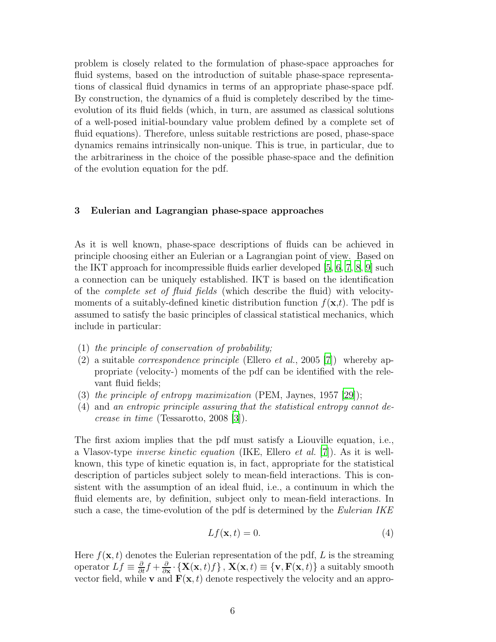problem is closely related to the formulation of phase-space approaches for fluid systems, based on the introduction of suitable phase-space representations of classical fluid dynamics in terms of an appropriate phase-space pdf. By construction, the dynamics of a fluid is completely described by the timeevolution of its fluid fields (which, in turn, are assumed as classical solutions of a well-posed initial-boundary value problem defined by a complete set of fluid equations). Therefore, unless suitable restrictions are posed, phase-space dynamics remains intrinsically non-unique. This is true, in particular, due to the arbitrariness in the choice of the possible phase-space and the definition of the evolution equation for the pdf.

## 3 Eulerian and Lagrangian phase-space approaches

As it is well known, phase-space descriptions of fluids can be achieved in principle choosing either an Eulerian or a Lagrangian point of view. Based on the IKT approach for incompressible fluids earlier developed  $[5, 6, 7, 8, 9]$  $[5, 6, 7, 8, 9]$  $[5, 6, 7, 8, 9]$  $[5, 6, 7, 8, 9]$  $[5, 6, 7, 8, 9]$  $[5, 6, 7, 8, 9]$  $[5, 6, 7, 8, 9]$  such a connection can be uniquely established. IKT is based on the identification of the *complete set of fluid fields* (which describe the fluid) with velocitymoments of a suitably-defined kinetic distribution function  $f(\mathbf{x},t)$ . The pdf is assumed to satisfy the basic principles of classical statistical mechanics, which include in particular:

- (1) *the principle of conservation of probability;*
- (2) a suitable *correspondence principle* (Ellero *et al.*, 2005 [\[7](#page-14-2)]) whereby appropriate (velocity-) moments of the pdf can be identified with the relevant fluid fields;
- (3) *the principle of entropy maximization* (PEM, Jaynes, 1957 [\[29\]](#page-14-23));
- (4) and *an entropic principle assuring that the statistical entropy cannot decrease in time* (Tessarotto, 2008 [\[3\]](#page-13-2)).

The first axiom implies that the pdf must satisfy a Liouville equation, i.e., a Vlasov-type *inverse kinetic equation* (IKE, Ellero *et al.* [\[7](#page-14-2)]). As it is wellknown, this type of kinetic equation is, in fact, appropriate for the statistical description of particles subject solely to mean-field interactions. This is consistent with the assumption of an ideal fluid, i.e., a continuum in which the fluid elements are, by definition, subject only to mean-field interactions. In such a case, the time-evolution of the pdf is determined by the *Eulerian IKE*

<span id="page-5-0"></span>
$$
Lf(\mathbf{x},t) = 0.\t\t(4)
$$

Here  $f(\mathbf{x}, t)$  denotes the Eulerian representation of the pdf, L is the streaming operator  $Lf \equiv \frac{\partial}{\partial t}f + \frac{\partial}{\partial x} \cdot \{X(x, t)f\}$ ,  $X(x, t) \equiv \{\mathbf{v}, \mathbf{F}(x, t)\}$  a suitably smooth vector field, while **v** and  $\mathbf{F}(\mathbf{x}, t)$  denote respectively the velocity and an appro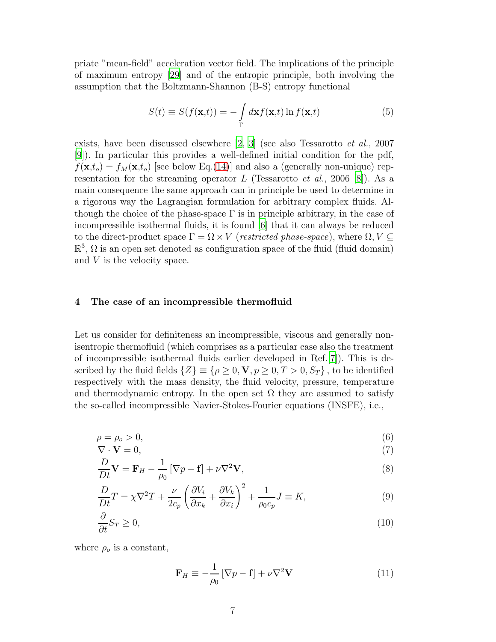priate "mean-field" acceleration vector field. The implications of the principle of maximum entropy [\[29\]](#page-14-23) and of the entropic principle, both involving the assumption that the Boltzmann-Shannon (B-S) entropy functional

<span id="page-6-1"></span>
$$
S(t) \equiv S(f(\mathbf{x},t)) = -\int_{\Gamma} d\mathbf{x} f(\mathbf{x},t) \ln f(\mathbf{x},t)
$$
 (5)

exists, have been discussed elsewhere [\[2](#page-13-1), [3](#page-13-2)] (see also Tessarotto *et al.*, 2007 [\[9](#page-14-4)]). In particular this provides a well-defined initial condition for the pdf,  $f(\mathbf{x},t_o) = f_M(\mathbf{x},t_o)$  [see below Eq.[\(14\)](#page-8-0)] and also a (generally non-unique) representation for the streaming operator  $L$  (Tessarotto  $et$   $al., 2006$  [\[8](#page-14-3)]). As a main consequence the same approach can in principle be used to determine in a rigorous way the Lagrangian formulation for arbitrary complex fluids. Although the choice of the phase-space  $\Gamma$  is in principle arbitrary, in the case of incompressible isothermal fluids, it is found [\[6](#page-14-1)] that it can always be reduced to the direct-product space  $\Gamma = \Omega \times V$  (*restricted phase-space*), where  $\Omega, V \subseteq$  $\mathbb{R}^3$ ,  $\Omega$  is an open set denoted as configuration space of the fluid (fluid domain) and V is the velocity space.

#### 4 The case of an incompressible thermofluid

Let us consider for definiteness an incompressible, viscous and generally nonisentropic thermofluid (which comprises as a particular case also the treatment of incompressible isothermal fluids earlier developed in Ref.[\[7\]](#page-14-2)). This is described by the fluid fields  $\{Z\} \equiv \{\rho \geq 0, \mathbf{V}, p \geq 0, T > 0, S_T\}$ , to be identified respectively with the mass density, the fluid velocity, pressure, temperature and thermodynamic entropy. In the open set  $\Omega$  they are assumed to satisfy the so-called incompressible Navier-Stokes-Fourier equations (INSFE), i.e.,

<span id="page-6-0"></span>
$$
\rho = \rho_o > 0,\tag{6}
$$

$$
\nabla \cdot \mathbf{V} = 0,\tag{7}
$$
  

$$
D_{\mathbf{V}} = \mathbf{E} \qquad 1 \qquad \mathbf{E} \qquad \mathbf{V} = \mathbf{V} \tag{8}
$$

$$
\frac{D}{Dt}\mathbf{V} = \mathbf{F}_H - \frac{1}{\rho_0} \left[ \nabla p - \mathbf{f} \right] + \nu \nabla^2 \mathbf{V},\tag{8}
$$

$$
\frac{D}{Dt}T = \chi \nabla^2 T + \frac{\nu}{2c_p} \left( \frac{\partial V_i}{\partial x_k} + \frac{\partial V_k}{\partial x_i} \right)^2 + \frac{1}{\rho_0 c_p} J \equiv K,\tag{9}
$$

$$
\frac{\partial}{\partial t} S_T \ge 0,\tag{10}
$$

where  $\rho_o$  is a constant,

<span id="page-6-2"></span>
$$
\mathbf{F}_H \equiv -\frac{1}{\rho_0} \left[ \nabla p - \mathbf{f} \right] + \nu \nabla^2 \mathbf{V} \tag{11}
$$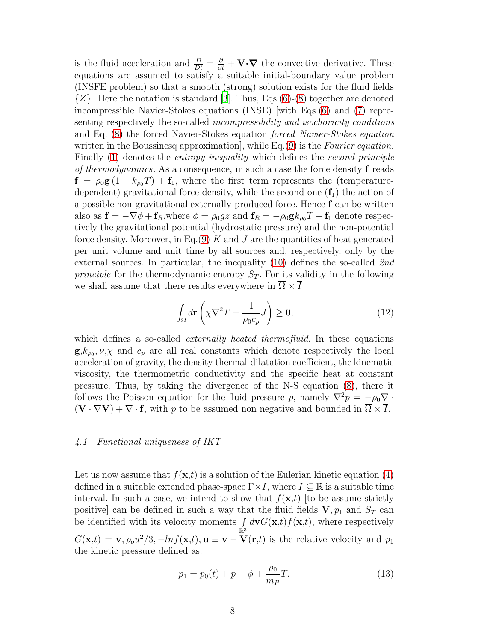is the fluid acceleration and  $\frac{D}{Dt} = \frac{\partial}{\partial t} + \mathbf{V} \cdot \nabla$  the convective derivative. These equations are assumed to satisfy a suitable initial-boundary value problem (INSFE problem) so that a smooth (strong) solution exists for the fluid fields  $\{Z\}$ . Here the notation is standard [\[3](#page-13-2)]. Thus, Eqs.[\(6\)](#page-6-0)-[\(8\)](#page-6-0) together are denoted incompressible Navier-Stokes equations (INSE) [with Eqs.[\(6\)](#page-6-0) and [\(7\)](#page-6-0) representing respectively the so-called *incompressibility and isochoricity conditions* and Eq. [\(8\)](#page-6-0) the forced Navier-Stokes equation *forced Navier-Stokes equation* written in the Boussinesq approximation], while Eq.[\(9\)](#page-6-0) is the *Fourier equation.* Finally [\(1\)](#page-1-0) denotes the *entropy inequality* which defines the *second principle of thermodynamics*. As a consequence, in such a case the force density f reads  $f = \rho_0 g (1 - k_{\rho_0} T) + f_1$ , where the first term represents the (temperaturedependent) gravitational force density, while the second one  $(f_1)$  the action of a possible non-gravitational externally-produced force. Hence f can be written also as  $\mathbf{f} = -\nabla \phi + \mathbf{f}_R$ , where  $\phi = \rho_0 gz$  and  $\mathbf{f}_R = -\rho_0 \mathbf{g} k_{\rho_0} T + \mathbf{f}_1$  denote respectively the gravitational potential (hydrostatic pressure) and the non-potential force density. Moreover, in Eq.[\(9\)](#page-6-0) K and J are the quantities of heat generated per unit volume and unit time by all sources and, respectively, only by the external sources. In particular, the inequality [\(10\)](#page-6-0) defines the so-called *2nd principle* for the thermodynamic entropy  $S_T$ . For its validity in the following we shall assume that there results everywhere in  $\overline{\Omega} \times \overline{I}$ 

<span id="page-7-0"></span>
$$
\int_{\Omega} d\mathbf{r} \left( \chi \nabla^2 T + \frac{1}{\rho_0 c_p} J \right) \ge 0,
$$
\n(12)

which defines a so-called *externally heated thermofluid*. In these equations  $\mathbf{g}, k_{\rho_0}, \nu, \chi$  and  $c_p$  are all real constants which denote respectively the local acceleration of gravity, the density thermal-dilatation coefficient, the kinematic viscosity, the thermometric conductivity and the specific heat at constant pressure. Thus, by taking the divergence of the N-S equation [\(8\)](#page-6-0), there it follows the Poisson equation for the fluid pressure p, namely  $\nabla^2 p = -\rho_0 \nabla \cdot$  $(\mathbf{V} \cdot \nabla \mathbf{V}) + \nabla \cdot \mathbf{f}$ , with p to be assumed non negative and bounded in  $\overline{\Omega} \times \overline{I}$ .

#### *4.1 Functional uniqueness of IKT*

Let us now assume that  $f(\mathbf{x},t)$  is a solution of the Eulerian kinetic equation [\(4\)](#page-5-0) defined in a suitable extended phase-space  $\Gamma \times I$ , where  $I \subseteq \mathbb{R}$  is a suitable time interval. In such a case, we intend to show that  $f(\mathbf{x},t)$  [to be assume strictly positive] can be defined in such a way that the fluid fields  $V, p_1$  and  $S_T$  can be identified with its velocity moments  $\int_{\mathbb{R}^3} d{\bf v} G({\bf x},t) f({\bf x},t)$ , where respectively  $G(\mathbf{x},t) = \mathbf{v}, \rho_o u^2/3, -\ln f(\mathbf{x},t), \mathbf{u} \equiv \mathbf{v} - \mathbf{V}(\mathbf{r},t)$  is the relative velocity and  $p_1$ the kinetic pressure defined as:

$$
p_1 = p_0(t) + p - \phi + \frac{\rho_0}{m_P}T.
$$
 (13)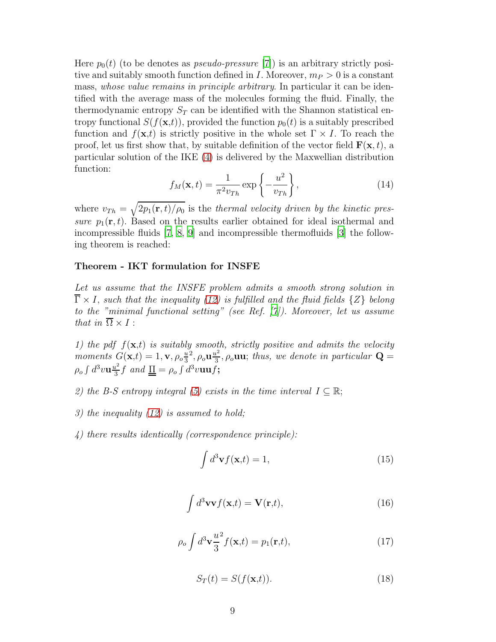Here  $p_0(t)$  (to be denotes as *pseudo-pressure* [\[7\]](#page-14-2)) is an arbitrary strictly positive and suitably smooth function defined in I. Moreover,  $m_P > 0$  is a constant mass, *whose value remains in principle arbitrary*. In particular it can be identified with the average mass of the molecules forming the fluid. Finally, the thermodynamic entropy  $S_T$  can be identified with the Shannon statistical entropy functional  $S(f(\mathbf{x},t))$ , provided the function  $p_0(t)$  is a suitably prescribed function and  $f(\mathbf{x},t)$  is strictly positive in the whole set  $\Gamma \times I$ . To reach the proof, let us first show that, by suitable definition of the vector field  $\mathbf{F}(\mathbf{x}, t)$ , a particular solution of the IKE [\(4\)](#page-5-0) is delivered by the Maxwellian distribution function:

<span id="page-8-0"></span>
$$
f_M(\mathbf{x}, t) = \frac{1}{\pi^2 v_{Th}} \exp\left\{-\frac{u^2}{v_{Th}}\right\},\tag{14}
$$

where  $v_{Th} = \sqrt{2p_1(\mathbf{r},t)/\rho_0}$  is the *thermal velocity driven by the kinetic pressure*  $p_1(\mathbf{r}, t)$ . Based on the results earlier obtained for ideal isothermal and incompressible fluids [\[7](#page-14-2), [8,](#page-14-3) [9](#page-14-4)] and incompressible thermofluids [\[3\]](#page-13-2) the following theorem is reached:

#### Theorem - IKT formulation for INSFE

*Let us assume that the INSFE problem admits a smooth strong solution in*  $\overline{\Gamma} \times I$ , *such that the inequality* [\(12\)](#page-7-0) *is fulfilled and the fluid fields*  $\{Z\}$  *belong to the "minimal functional setting" (see Ref. [\[7](#page-14-2)]). Moreover, let us assume that in*  $\overline{\Omega} \times I$  :

*1) the pdf*  $f(\mathbf{x},t)$  *is suitably smooth, strictly positive and admits the velocity moments*  $G(\mathbf{x},t) = 1, \mathbf{v}, \rho_o \frac{u}{3}$ 3  $\stackrel{2}{2},\rho_{o}{\bf u } \frac{u^2}{3}$  $\frac{d^2}{3}$ ,  $\rho_o$ **uu**; *thus, we denote in particular*  $\mathbf{Q} =$  $\rho_o \int d^3 v \mathbf{u} \frac{u^2}{3}$  $\frac{d^2}{3} f$  and  $\underline{\Pi} = \rho_o \int d^3 v \mathbf{u} \mathbf{u} f;$ 

- *2)* the B-S entropy integral [\(5\)](#page-6-1) exists in the time interval  $I \subseteq \mathbb{R}$ ;
- *3) the inequality [\(12\)](#page-7-0) is assumed to hold;*
- *4) there results identically (correspondence principle):*

<span id="page-8-1"></span>
$$
\int d^3 \mathbf{v} f(\mathbf{x}, t) = 1,\tag{15}
$$

$$
\int d^3 \mathbf{v} \mathbf{v} f(\mathbf{x},t) = \mathbf{V}(\mathbf{r},t),\tag{16}
$$

$$
\rho_o \int d^3 \mathbf{v} \frac{u^2}{3} f(\mathbf{x}, t) = p_1(\mathbf{r}, t), \qquad (17)
$$

$$
S_T(t) = S(f(\mathbf{x}, t)).
$$
\n(18)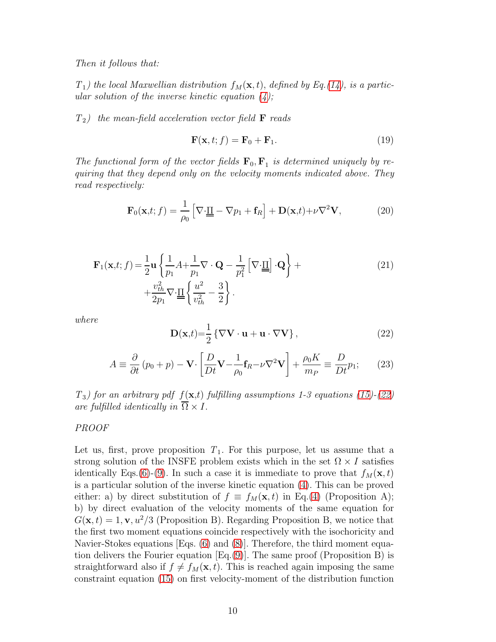$T_1$ ) the local Maxwellian distribution  $f_M(\mathbf{x}, t)$ , defined by Eq.[\(14\)](#page-8-0), is a partic*ular solution of the inverse kinetic equation [\(4\)](#page-5-0);*

*T*2*) the mean-field acceleration vector field* F *reads*

<span id="page-9-1"></span>
$$
\mathbf{F}(\mathbf{x}, t; f) = \mathbf{F}_0 + \mathbf{F}_1.
$$
 (19)

The functional form of the vector fields  $\mathbf{F}_0$ ,  $\mathbf{F}_1$  is determined uniquely by re*quiring that they depend only on the velocity moments indicated above. They read respectively:*

<span id="page-9-2"></span>
$$
\mathbf{F}_0(\mathbf{x},t; f) = \frac{1}{\rho_0} \left[ \nabla \cdot \underline{\underline{\Pi}} - \nabla p_1 + \mathbf{f}_R \right] + \mathbf{D}(\mathbf{x},t) + \nu \nabla^2 \mathbf{V},\tag{20}
$$

<span id="page-9-3"></span>
$$
\mathbf{F}_1(\mathbf{x},t; f) = \frac{1}{2}\mathbf{u}\left\{\frac{1}{p_1}A + \frac{1}{p_1}\nabla\cdot\mathbf{Q} - \frac{1}{p_1^2}\left[\nabla\cdot\underline{\mathbf{u}}\right]\cdot\mathbf{Q}\right\} + \frac{v_{th}^2}{2p_1}\nabla\cdot\underline{\mathbf{u}}\left\{\frac{u^2}{v_{th}^2} - \frac{3}{2}\right\}.
$$
\n(21)

*where*

<span id="page-9-0"></span>
$$
\mathbf{D}(\mathbf{x},t) = \frac{1}{2} \left\{ \nabla \mathbf{V} \cdot \mathbf{u} + \mathbf{u} \cdot \nabla \mathbf{V} \right\},\tag{22}
$$

<span id="page-9-4"></span>
$$
A \equiv \frac{\partial}{\partial t} (p_0 + p) - \mathbf{V} \cdot \left[ \frac{D}{Dt} \mathbf{V} - \frac{1}{\rho_0} \mathbf{f}_R - \nu \nabla^2 \mathbf{V} \right] + \frac{\rho_0 K}{m_P} \equiv \frac{D}{Dt} p_1; \qquad (23)
$$

*T*3*) for an arbitrary pdf* f(x,t) *fulfilling assumptions 1-3 equations [\(15\)](#page-8-1)-[\(22\)](#page-9-0) are fulfilled identically in*  $\overline{\Omega} \times I$ .

## *PROOF*

Let us, first, prove proposition  $T_1$ . For this purpose, let us assume that a strong solution of the INSFE problem exists which in the set  $\Omega \times I$  satisfies identically Eqs.[\(6\)](#page-6-0)-[\(9\)](#page-6-0). In such a case it is immediate to prove that  $f_M(\mathbf{x}, t)$ is a particular solution of the inverse kinetic equation [\(4\)](#page-5-0). This can be proved either: a) by direct substitution of  $f \equiv f_M(\mathbf{x}, t)$  in Eq.[\(4\)](#page-5-0) (Proposition A); b) by direct evaluation of the velocity moments of the same equation for  $G(\mathbf{x}, t) = 1, \mathbf{v}, u^2/3$  (Proposition B). Regarding Proposition B, we notice that the first two moment equations coincide respectively with the isochoricity and Navier-Stokes equations [Eqs. [\(6\)](#page-6-0) and [\(8\)](#page-6-0)]. Therefore, the third moment equation delivers the Fourier equation  $[Eq.(9)]$  $[Eq.(9)]$  $[Eq.(9)]$ . The same proof (Proposition B) is straightforward also if  $f \neq f_M(\mathbf{x}, t)$ . This is reached again imposing the same constraint equation [\(15\)](#page-8-1) on first velocity-moment of the distribution function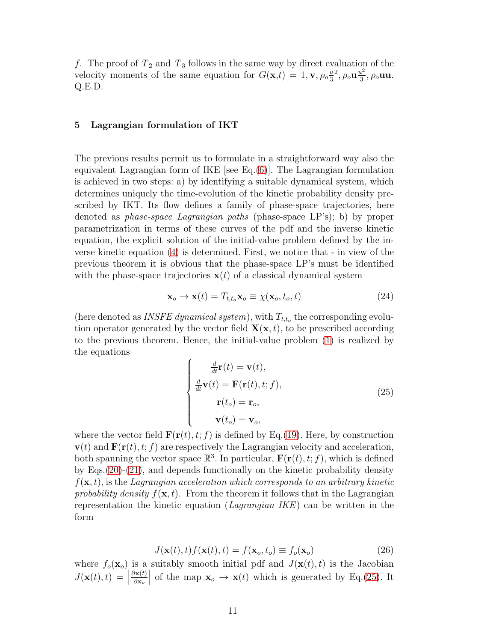f. The proof of  $T_2$  and  $T_3$  follows in the same way by direct evaluation of the velocity moments of the same equation for  $G(\mathbf{x},t) = 1, \mathbf{v}, \rho_0 \frac{u}{3}$ 3  $^2$ ,  $\rho_o \mathbf{u} \frac{u^2}{3}$  $\frac{u^2}{3}, \rho_o$ uu. Q.E.D.

## 5 Lagrangian formulation of IKT

The previous results permit us to formulate in a straightforward way also the equivalent Lagrangian form of IKE [see Eq. $(6)$ ]. The Lagrangian formulation is achieved in two steps: a) by identifying a suitable dynamical system, which determines uniquely the time-evolution of the kinetic probability density prescribed by IKT. Its flow defines a family of phase-space trajectories, here denoted as *phase-space Lagrangian paths* (phase-space LP's); b) by proper parametrization in terms of these curves of the pdf and the inverse kinetic equation, the explicit solution of the initial-value problem defined by the inverse kinetic equation [\(4\)](#page-5-0) is determined. First, we notice that - in view of the previous theorem it is obvious that the phase-space LP's must be identified with the phase-space trajectories  $x(t)$  of a classical dynamical system

$$
\mathbf{x}_o \to \mathbf{x}(t) = T_{t,t_o} \mathbf{x}_o \equiv \chi(\mathbf{x}_o, t_o, t) \tag{24}
$$

(here denoted as *INSFE dynamical system*), with  $T_{t,t_o}$  the corresponding evolution operator generated by the vector field  $\mathbf{X}(\mathbf{x}, t)$ , to be prescribed according to the previous theorem. Hence, the initial-value problem [\(1\)](#page-1-0) is realized by the equations

<span id="page-10-0"></span>
$$
\begin{cases}\n\frac{d}{dt}\mathbf{r}(t) = \mathbf{v}(t), \\
\frac{d}{dt}\mathbf{v}(t) = \mathbf{F}(\mathbf{r}(t), t; f), \\
\mathbf{r}(t_o) = \mathbf{r}_o, \\
\mathbf{v}(t_o) = \mathbf{v}_o,\n\end{cases}
$$
\n(25)

where the vector field  $\mathbf{F}(\mathbf{r}(t), t; f)$  is defined by Eq.[\(19\)](#page-9-1). Here, by construction  $\mathbf{v}(t)$  and  $\mathbf{F}(\mathbf{r}(t), t; f)$  are respectively the Lagrangian velocity and acceleration, both spanning the vector space  $\mathbb{R}^3$ . In particular,  $\mathbf{F}(\mathbf{r}(t), t; f)$ , which is defined by Eqs.[\(20\)](#page-9-2)-[\(21\)](#page-9-3), and depends functionally on the kinetic probability density  $f(\mathbf{x}, t)$ , is the *Lagrangian acceleration which corresponds to an arbitrary kinetic* probability density  $f(\mathbf{x}, t)$ . From the theorem it follows that in the Lagrangian representation the kinetic equation (*Lagrangian IKE*) can be written in the form

<span id="page-10-1"></span>
$$
J(\mathbf{x}(t),t)f(\mathbf{x}(t),t) = f(\mathbf{x}_o,t_o) \equiv f_o(\mathbf{x}_o)
$$
\n(26)

where  $f_o(\mathbf{x}_o)$  is a suitably smooth initial pdf and  $J(\mathbf{x}(t), t)$  is the Jacobian  $J(\mathbf{x}(t), t) = |$  $\partial$ x $(t)$ ∂x<sup>o</sup> of the map  $\mathbf{x}_o \to \mathbf{x}(t)$  which is generated by Eq.[\(25\)](#page-10-0). It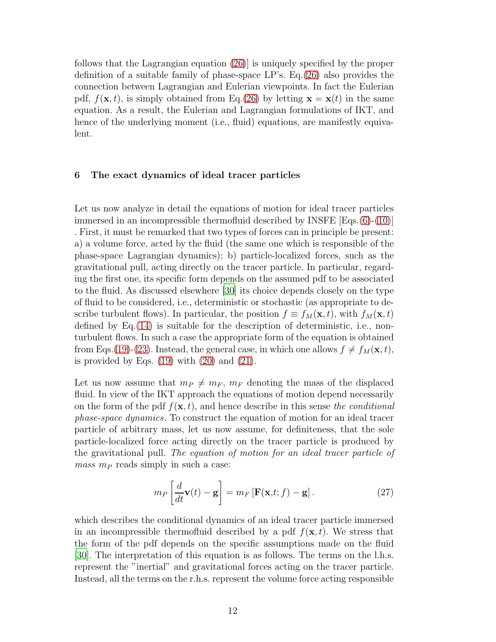follows that the Lagrangian equation [\(26\)](#page-10-1)] is uniquely specified by the proper definition of a suitable family of phase-space LP's. Eq.[\(26\)](#page-10-1) also provides the connection between Lagrangian and Eulerian viewpoints. In fact the Eulerian pdf,  $f(\mathbf{x}, t)$ , is simply obtained from Eq.[\(26\)](#page-10-1) by letting  $\mathbf{x} = \mathbf{x}(t)$  in the same equation. As a result, the Eulerian and Lagrangian formulations of IKT, and hence of the underlying moment (i.e., fluid) equations, are manifestly equivalent.

### 6 The exact dynamics of ideal tracer particles

Let us now analyze in detail the equations of motion for ideal tracer particles immersed in an incompressible thermofluid described by INSFE [Eqs.[\(6\)](#page-6-0)-[\(10\)](#page-6-0)] . First, it must be remarked that two types of forces can in principle be present: a) a volume force, acted by the fluid (the same one which is responsible of the phase-space Lagrangian dynamics); b) particle-localized forces, such as the gravitational pull, acting directly on the tracer particle. In particular, regarding the first one, its specific form depends on the assumed pdf to be associated to the fluid. As discussed elsewhere [\[30](#page-14-24)] its choice depends closely on the type of fluid to be considered, i.e., deterministic or stochastic (as appropriate to describe turbulent flows). In particular, the position  $f \equiv f_M(\mathbf{x}, t)$ , with  $f_M(\mathbf{x}, t)$ defined by Eq.[\(14\)](#page-8-0) is suitable for the description of deterministic, i.e., nonturbulent flows. In such a case the appropriate form of the equation is obtained from Eqs.[\(19\)](#page-9-1)-[\(23\)](#page-9-4). Instead, the general case, in which one allows  $f \neq f_M(\mathbf{x}, t)$ , is provided by Eqs.  $(19)$  with  $(20)$  and  $(21)$ .

Let us now assume that  $m_P \neq m_F$ ,  $m_F$  denoting the mass of the displaced fluid. In view of the IKT approach the equations of motion depend necessarily on the form of the pdf  $f(\mathbf{x}, t)$ , and hence describe in this sense *the conditional phase-space dynamics*. To construct the equation of motion for an ideal tracer particle of arbitrary mass, let us now assume, for definiteness, that the sole particle-localized force acting directly on the tracer particle is produced by the gravitational pull. *The equation of motion for an ideal tracer particle of mass*  $m<sub>P</sub>$  reads simply in such a case:

<span id="page-11-0"></span>
$$
m_P \left[ \frac{d}{dt} \mathbf{v}(t) - \mathbf{g} \right] = m_F \left[ \mathbf{F}(\mathbf{x}, t; f) - \mathbf{g} \right]. \tag{27}
$$

which describes the conditional dynamics of an ideal tracer particle immersed in an incompressible thermofluid described by a pdf  $f(\mathbf{x}, t)$ . We stress that the form of the pdf depends on the specific assumptions made on the fluid [\[30\]](#page-14-24). The interpretation of this equation is as follows. The terms on the l.h.s. represent the "inertial" and gravitational forces acting on the tracer particle. Instead, all the terms on the r.h.s. represent the volume force acting responsible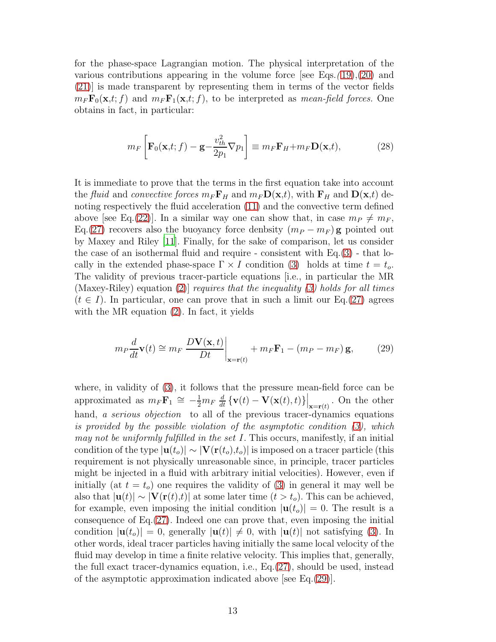for the phase-space Lagrangian motion. The physical interpretation of the various contributions appearing in the volume force [see Eqs.*(* [19\)](#page-9-1),[\(20\)](#page-9-2) and [\(21\)](#page-9-3)] is made transparent by representing them in terms of the vector fields  $m_F F_0(\mathbf{x},t; f)$  and  $m_F F_1(\mathbf{x},t; f)$ , to be interpreted as *mean-field forces*. One obtains in fact, in particular:

$$
m_F \left[ \mathbf{F}_0(\mathbf{x}, t; f) - \mathbf{g} - \frac{v_{th}^2}{2p_1} \nabla p_1 \right] \equiv m_F \mathbf{F}_H + m_F \mathbf{D}(\mathbf{x}, t), \tag{28}
$$

It is immediate to prove that the terms in the first equation take into account the *fluid* and *convective forces*  $m_F F_H$  and  $m_F D(\mathbf{x},t)$ , with  $F_H$  and  $D(\mathbf{x},t)$  denoting respectively the fluid acceleration [\(11\)](#page-6-2) and the convective term defined above [see Eq.[\(22\)](#page-9-0)]. In a similar way one can show that, in case  $m_P \neq m_F$ , Eq.[\(27\)](#page-11-0) recovers also the buoyancy force denbsity  $(m_P - m_F)$  g pointed out by Maxey and Riley [\[11\]](#page-14-6). Finally, for the sake of comparison, let us consider the case of an isothermal fluid and require - consistent with  $Eq.(3)$  $Eq.(3)$  - that locally in the extended phase-space  $\Gamma \times I$  condition [\(3\)](#page-4-1) holds at time  $t = t_o$ . The validity of previous tracer-particle equations [i.e., in particular the MR (Maxey-Riley) equation [\(2\)](#page-4-0)] *requires that the inequality [\(3\)](#page-4-1) holds for all times*  $(t \in I)$ . In particular, one can prove that in such a limit our Eq.[\(27\)](#page-11-0) agrees with the MR equation [\(2\)](#page-4-0). In fact, it yields

<span id="page-12-0"></span>
$$
m_P \frac{d}{dt} \mathbf{v}(t) \cong m_F \left. \frac{D \mathbf{V}(\mathbf{x}, t)}{Dt} \right|_{\mathbf{x} = \mathbf{r}(t)} + m_F \mathbf{F}_1 - (m_P - m_F) \mathbf{g},\tag{29}
$$

where, in validity of [\(3\)](#page-4-1), it follows that the pressure mean-field force can be approximated as  $m_F \mathbf{F}_1 \cong -\frac{1}{2} m_F \frac{d}{dt} \left\{ \mathbf{v}(t) - \mathbf{V}(\mathbf{x}(t), t) \right\} \Big|_{\mathbf{x} = \mathbf{r}(t)}$ . On the other hand, *a serious objection* to all of the previous tracer-dynamics equations *is provided by the possible violation of the asymptotic condition [\(3\)](#page-4-1), which may not be uniformly fulfilled in the set* I. This occurs, manifestly, if an initial condition of the type  $|\mathbf{u}(t_o)| \sim |\mathbf{V}(\mathbf{r}(t_o), t_o)|$  is imposed on a tracer particle (this requirement is not physically unreasonable since, in principle, tracer particles might be injected in a fluid with arbitrary initial velocities). However, even if initially (at  $t = t_o$ ) one requires the validity of [\(3\)](#page-4-1) in general it may well be also that  $|\mathbf{u}(t)| \sim |\mathbf{V}(\mathbf{r}(t),t)|$  at some later time  $(t > t_o)$ . This can be achieved, for example, even imposing the initial condition  $|\mathbf{u}(t_o)| = 0$ . The result is a consequence of Eq.[\(27\)](#page-11-0). Indeed one can prove that, even imposing the initial condition  $|\mathbf{u}(t_0)| = 0$ , generally  $|\mathbf{u}(t)| \neq 0$ , with  $|\mathbf{u}(t)|$  not satisfying [\(3\)](#page-4-1). In other words, ideal tracer particles having initially the same local velocity of the fluid may develop in time a finite relative velocity. This implies that, generally, the full exact tracer-dynamics equation, i.e., Eq.[\(27\)](#page-11-0), should be used, instead of the asymptotic approximation indicated above [see Eq.[\(29\)](#page-12-0)].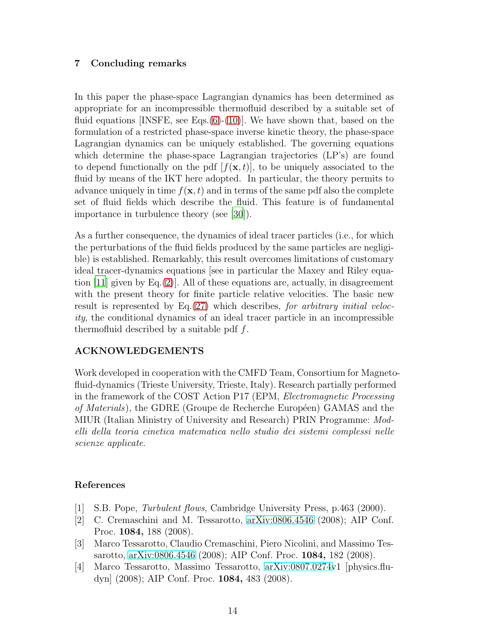# 7 Concluding remarks

In this paper the phase-space Lagrangian dynamics has been determined as appropriate for an incompressible thermofluid described by a suitable set of fluid equations [INSFE, see Eqs. $(6)-(10)$  $(6)-(10)$  $(6)-(10)$ ]. We have shown that, based on the formulation of a restricted phase-space inverse kinetic theory, the phase-space Lagrangian dynamics can be uniquely established. The governing equations which determine the phase-space Lagrangian trajectories (LP's) are found to depend functionally on the pdf  $[f(\mathbf{x}, t)]$ , to be uniquely associated to the fluid by means of the IKT here adopted. In particular, the theory permits to advance uniquely in time  $f(\mathbf{x}, t)$  and in terms of the same pdf also the complete set of fluid fields which describe the fluid. This feature is of fundamental importance in turbulence theory (see [\[30](#page-14-24)]).

As a further consequence, the dynamics of ideal tracer particles (i.e., for which the perturbations of the fluid fields produced by the same particles are negligible) is established. Remarkably, this result overcomes limitations of customary ideal tracer-dynamics equations [see in particular the Maxey and Riley equa-tion [\[11](#page-14-6)] given by Eq.[\(2\)](#page-4-0)]. All of these equations are, actually, in disagreement with the present theory for finite particle relative velocities. The basic new result is represented by Eq.[\(27\)](#page-11-0) which describes, *for arbitrary initial velocity*, the conditional dynamics of an ideal tracer particle in an incompressible thermofluid described by a suitable pdf  $f$ .

### ACKNOWLEDGEMENTS

Work developed in cooperation with the CMFD Team, Consortium for Magnetofluid-dynamics (Trieste University, Trieste, Italy). Research partially performed in the framework of the COST Action P17 (EPM, *Electromagnetic Processing of Materials*), the GDRE (Groupe de Recherche Européen) GAMAS and the MIUR (Italian Ministry of University and Research) PRIN Programme: *Modelli della teoria cinetica matematica nello studio dei sistemi complessi nelle scienze applicate*.

### References

- <span id="page-13-0"></span>[1] S.B. Pope, *Turbulent flows*, Cambridge University Press, p.463 (2000).
- <span id="page-13-1"></span>[2] C. Cremaschini and M. Tessarotto, [arXiv:0806.4546](http://arxiv.org/abs/0806.4546) (2008); AIP Conf. Proc. 1084, 188 (2008).
- <span id="page-13-2"></span>[3] Marco Tessarotto, Claudio Cremaschini, Piero Nicolini, and Massimo Tessarotto, [arXiv:0806.4546](http://arxiv.org/abs/0806.4546) (2008); AIP Conf. Proc. 1084, 182 (2008).
- <span id="page-13-3"></span>[4] Marco Tessarotto, Massimo Tessarotto, [arXiv:0807.0274v](http://arxiv.org/abs/0807.0274)1 [physics.fludyn] (2008); AIP Conf. Proc. 1084, 483 (2008).